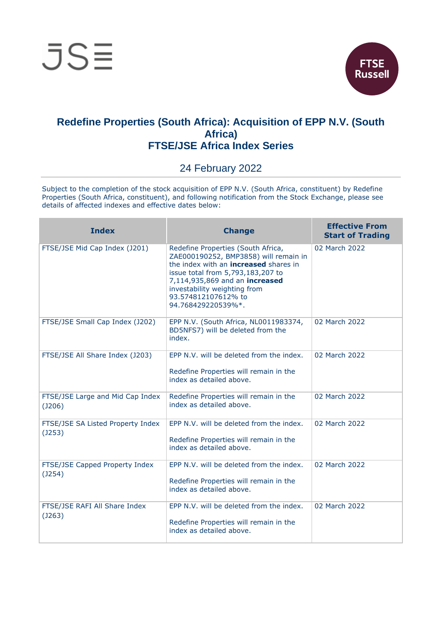

## **Redefine Properties (South Africa): Acquisition of EPP N.V. (South Africa) FTSE/JSE Africa Index Series**

## 24 February 2022

Subject to the completion of the stock acquisition of EPP N.V. (South Africa, constituent) by Redefine Properties (South Africa, constituent), and following notification from the Stock Exchange, please see details of affected indexes and effective dates below:

| <b>Index</b>                                      | <b>Change</b>                                                                                                                                                                                                                                                                   | <b>Effective From</b><br><b>Start of Trading</b> |
|---------------------------------------------------|---------------------------------------------------------------------------------------------------------------------------------------------------------------------------------------------------------------------------------------------------------------------------------|--------------------------------------------------|
| FTSE/JSE Mid Cap Index (J201)                     | Redefine Properties (South Africa,<br>ZAE000190252, BMP3858) will remain in<br>the index with an <b>increased</b> shares in<br>issue total from 5,793,183,207 to<br>7,114,935,869 and an increased<br>investability weighting from<br>93.574812107612% to<br>94.768429220539%*. | 02 March 2022                                    |
| FTSE/JSE Small Cap Index (J202)                   | EPP N.V. (South Africa, NL0011983374,<br>BD5NFS7) will be deleted from the<br>index.                                                                                                                                                                                            | 02 March 2022                                    |
| FTSE/JSE All Share Index (J203)                   | EPP N.V. will be deleted from the index.<br>Redefine Properties will remain in the<br>index as detailed above.                                                                                                                                                                  | 02 March 2022                                    |
| FTSE/JSE Large and Mid Cap Index<br>(J206)        | Redefine Properties will remain in the<br>index as detailed above.                                                                                                                                                                                                              | 02 March 2022                                    |
| FTSE/JSE SA Listed Property Index<br>$($ J253 $)$ | EPP N.V. will be deleted from the index.<br>Redefine Properties will remain in the<br>index as detailed above.                                                                                                                                                                  | 02 March 2022                                    |
| FTSE/JSE Capped Property Index<br>(J254)          | EPP N.V. will be deleted from the index.<br>Redefine Properties will remain in the<br>index as detailed above.                                                                                                                                                                  | 02 March 2022                                    |
| FTSE/JSE RAFI All Share Index<br>(J263)           | EPP N.V. will be deleted from the index.<br>Redefine Properties will remain in the<br>index as detailed above.                                                                                                                                                                  | 02 March 2022                                    |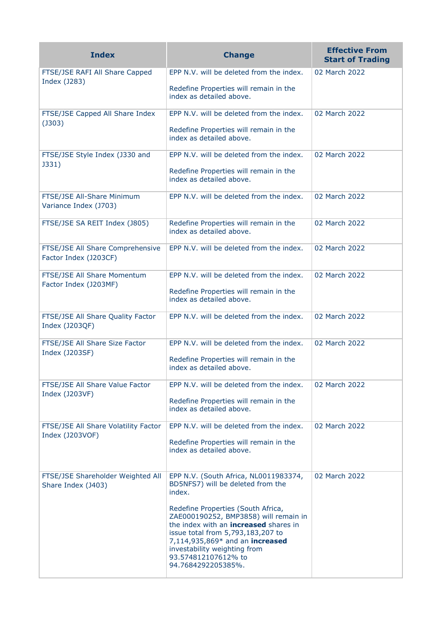| <b>Index</b>                                              | <b>Change</b>                                                                                                                                                                                                                                                                                                                                                            | <b>Effective From</b><br><b>Start of Trading</b> |
|-----------------------------------------------------------|--------------------------------------------------------------------------------------------------------------------------------------------------------------------------------------------------------------------------------------------------------------------------------------------------------------------------------------------------------------------------|--------------------------------------------------|
| FTSE/JSE RAFI All Share Capped<br>Index (J283)            | EPP N.V. will be deleted from the index.<br>Redefine Properties will remain in the<br>index as detailed above.                                                                                                                                                                                                                                                           | 02 March 2022                                    |
| FTSE/JSE Capped All Share Index<br>$($ J303 $)$           | EPP N.V. will be deleted from the index.<br>Redefine Properties will remain in the<br>index as detailed above.                                                                                                                                                                                                                                                           | 02 March 2022                                    |
| FTSE/JSE Style Index (J330 and<br>J331)                   | EPP N.V. will be deleted from the index.<br>Redefine Properties will remain in the<br>index as detailed above.                                                                                                                                                                                                                                                           | 02 March 2022                                    |
| FTSE/JSE All-Share Minimum<br>Variance Index (J703)       | EPP N.V. will be deleted from the index.                                                                                                                                                                                                                                                                                                                                 | 02 March 2022                                    |
| FTSE/JSE SA REIT Index (J805)                             | Redefine Properties will remain in the<br>index as detailed above.                                                                                                                                                                                                                                                                                                       | 02 March 2022                                    |
| FTSE/JSE All Share Comprehensive<br>Factor Index (J203CF) | EPP N.V. will be deleted from the index.                                                                                                                                                                                                                                                                                                                                 | 02 March 2022                                    |
| FTSE/JSE All Share Momentum<br>Factor Index (J203MF)      | EPP N.V. will be deleted from the index.<br>Redefine Properties will remain in the<br>index as detailed above.                                                                                                                                                                                                                                                           | 02 March 2022                                    |
| FTSE/JSE All Share Quality Factor<br>Index (J203QF)       | EPP N.V. will be deleted from the index.                                                                                                                                                                                                                                                                                                                                 | 02 March 2022                                    |
| FTSE/JSE All Share Size Factor<br>Index (J203SF)          | EPP N.V. will be deleted from the index.<br>Redefine Properties will remain in the<br>index as detailed above.                                                                                                                                                                                                                                                           | 02 March 2022                                    |
| FTSE/JSE All Share Value Factor<br>Index (J203VF)         | EPP N.V. will be deleted from the index.<br>Redefine Properties will remain in the<br>index as detailed above.                                                                                                                                                                                                                                                           | 02 March 2022                                    |
| FTSE/JSE All Share Volatility Factor<br>Index (J203VOF)   | EPP N.V. will be deleted from the index.<br>Redefine Properties will remain in the<br>index as detailed above.                                                                                                                                                                                                                                                           | 02 March 2022                                    |
| FTSE/JSE Shareholder Weighted All<br>Share Index (J403)   | EPP N.V. (South Africa, NL0011983374,<br>BD5NFS7) will be deleted from the<br>index.<br>Redefine Properties (South Africa,<br>ZAE000190252, BMP3858) will remain in<br>the index with an <b>increased</b> shares in<br>issue total from 5,793,183,207 to<br>7,114,935,869* and an increased<br>investability weighting from<br>93.574812107612% to<br>94.7684292205385%. | 02 March 2022                                    |